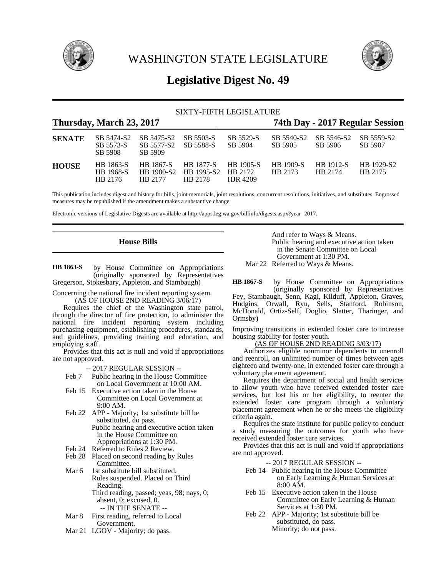

WASHINGTON STATE LEGISLATURE



# **Legislative Digest No. 49**

# SIXTY-FIFTH LEGISLATURE

# **Thursday, March 23, 2017 74th Day - 2017 Regular Session**

| <b>SENATE</b> | SB 5474-S2<br>SB 5573-S<br>SB 5908       | SB 5475-S2<br>SB 5577-S2<br>SB 5909 | SB 5503-S<br>SB 5588-S                            | SB 5529-S<br>SB 5904         | SB 5540-S2<br>SB 5905 | SB 5546-S2<br>SB 5906 | SB 5559-S2<br>SB 5907 |
|---------------|------------------------------------------|-------------------------------------|---------------------------------------------------|------------------------------|-----------------------|-----------------------|-----------------------|
| <b>HOUSE</b>  | HB 1863-S<br><b>HB</b> 1968-S<br>HB 2176 | HB 1867-S<br>HB 1980-S2<br>HR 2177  | <b>HB</b> 1877-S<br>HB 1995-S2 HB 2172<br>HB 2178 | <b>HB</b> 1905-S<br>HIR 4209 | HB 1909-S<br>HB 2173  | HB 1912-S<br>HB 2174  | HB 1929-S2<br>HB 2175 |

This publication includes digest and history for bills, joint memorials, joint resolutions, concurrent resolutions, initiatives, and substitutes. Engrossed measures may be republished if the amendment makes a substantive change.

Electronic versions of Legislative Digests are available at http://apps.leg.wa.gov/billinfo/digests.aspx?year=2017.

# **House Bills**

by House Committee on Appropriations (originally sponsored by Representatives Gregerson, Stokesbary, Appleton, and Stambaugh) **HB 1863-S**

Concerning the national fire incident reporting system. (AS OF HOUSE 2ND READING 3/06/17)

Requires the chief of the Washington state patrol, through the director of fire protection, to administer the national fire incident reporting system including purchasing equipment, establishing procedures, standards, and guidelines, providing training and education, and employing staff.

Provides that this act is null and void if appropriations are not approved.

-- 2017 REGULAR SESSION --

- Feb 7 Public hearing in the House Committee on Local Government at 10:00 AM.
- Feb 15 Executive action taken in the House Committee on Local Government at 9:00 AM.
- Feb 22 APP Majority; 1st substitute bill be substituted, do pass.

Public hearing and executive action taken in the House Committee on Appropriations at 1:30 PM.

- Feb 24 Referred to Rules 2 Review.
- Feb 28 Placed on second reading by Rules Committee.
- Mar 6 1st substitute bill substituted. Rules suspended. Placed on Third Reading. Third reading, passed; yeas, 98; nays, 0;

absent, 0; excused, 0. -- IN THE SENATE --

- Mar 8 First reading, referred to Local Government.
- Mar 21 LGOV Majority; do pass.

And refer to Ways & Means. Public hearing and executive action taken in the Senate Committee on Local Government at 1:30 PM. Mar 22 Referred to Ways & Means.

by House Committee on Appropriations (originally sponsored by Representatives **HB 1867-S**

Fey, Stambaugh, Senn, Kagi, Kilduff, Appleton, Graves, Hudgins, Orwall, Ryu, Sells, Stanford, Robinson, McDonald, Ortiz-Self, Doglio, Slatter, Tharinger, and Ormsby)

Improving transitions in extended foster care to increase housing stability for foster youth.

# (AS OF HOUSE 2ND READING 3/03/17)

Authorizes eligible nonminor dependents to unenroll and reenroll, an unlimited number of times between ages eighteen and twenty-one, in extended foster care through a voluntary placement agreement.

Requires the department of social and health services to allow youth who have received extended foster care services, but lost his or her eligibility, to reenter the extended foster care program through a voluntary placement agreement when he or she meets the eligibility criteria again.

Requires the state institute for public policy to conduct a study measuring the outcomes for youth who have received extended foster care services.

Provides that this act is null and void if appropriations are not approved.

-- 2017 REGULAR SESSION --

- Feb 14 Public hearing in the House Committee on Early Learning & Human Services at 8:00 AM.
- Feb 15 Executive action taken in the House Committee on Early Learning & Human Services at 1:30 PM.
- Feb 22 APP Majority; 1st substitute bill be substituted, do pass. Minority; do not pass.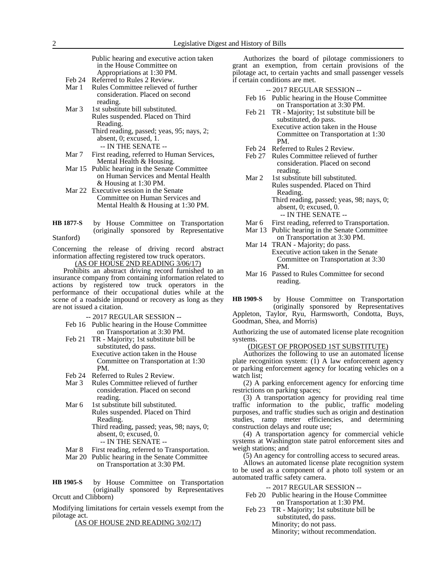|        | Public hearing and executive action taken   |  |  |  |  |
|--------|---------------------------------------------|--|--|--|--|
|        | in the House Committee on                   |  |  |  |  |
|        | Appropriations at 1:30 PM.                  |  |  |  |  |
| Feb 24 | Referred to Rules 2 Review.                 |  |  |  |  |
| Mar 1  | Rules Committee relieved of further         |  |  |  |  |
|        | consideration. Placed on second<br>reading. |  |  |  |  |
| Mar 3  | 1st substitute bill substituted.            |  |  |  |  |
|        | Rules suspended. Placed on Third            |  |  |  |  |
|        | Reading.                                    |  |  |  |  |
|        | Third reading, passed; yeas, 95; nays, 2;   |  |  |  |  |

-- IN THE SENATE -- Mar 7 First reading, referred to Human Services, Mental Health & Housing.

absent, 0; excused, 1.

- Mar 15 Public hearing in the Senate Committee on Human Services and Mental Health & Housing at 1:30 PM.
- Mar 22 Executive session in the Senate Committee on Human Services and Mental Health & Housing at 1:30 PM.
- by House Committee on Transportation (originally sponsored by Representative Stanford) **HB 1877-S**

Concerning the release of driving record abstract information affecting registered tow truck operators.

 $(AS OF HOÜSE$  2ND READING  $3/06/17$ )

Prohibits an abstract driving record furnished to an insurance company from containing information related to actions by registered tow truck operators in the performance of their occupational duties while at the scene of a roadside impound or recovery as long as they are not issued a citation.

-- 2017 REGULAR SESSION --

- Feb 16 Public hearing in the House Committee on Transportation at 3:30 PM.
- Feb 21 TR Majority; 1st substitute bill be substituted, do pass. Executive action taken in the House

Committee on Transportation at 1:30 PM.

- Feb 24 Referred to Rules 2 Review.<br>Mar 3 Rules Committee relieved of
- Rules Committee relieved of further consideration. Placed on second reading.
- Mar 6 1st substitute bill substituted.
	- Rules suspended. Placed on Third Reading.

Third reading, passed; yeas, 98; nays, 0; absent, 0; excused, 0.

- -- IN THE SENATE --
- Mar 8 First reading, referred to Transportation.
- Mar 20 Public hearing in the Senate Committee on Transportation at 3:30 PM.

by House Committee on Transportation (originally sponsored by Representatives Orcutt and Clibborn) **HB 1905-S**

Modifying limitations for certain vessels exempt from the pilotage act.

(AS OF HOUSE 2ND READING 3/02/17)

Authorizes the board of pilotage commissioners to grant an exemption, from certain provisions of the pilotage act, to certain yachts and small passenger vessels if certain conditions are met.

#### -- 2017 REGULAR SESSION --

- Feb 16 Public hearing in the House Committee on Transportation at 3:30 PM.
- Feb 21 TR Majority; 1st substitute bill be substituted, do pass. Executive action taken in the House
	- Committee on Transportation at 1:30 PM.
- Feb 24 Referred to Rules 2 Review.
- Feb 27 Rules Committee relieved of further consideration. Placed on second reading.
- Mar 2 1st substitute bill substituted. Rules suspended. Placed on Third Reading. Third reading, passed; yeas, 98; nays, 0; absent, 0; excused, 0. -- IN THE SENATE --

- Mar 6 First reading, referred to Transportation.
- Mar 13 Public hearing in the Senate Committee on Transportation at 3:30 PM. Mar 14 TRAN - Majority; do pass.
- Executive action taken in the Senate Committee on Transportation at 3:30 PM.
- Mar 16 Passed to Rules Committee for second reading.

by House Committee on Transportation (originally sponsored by Representatives Appleton, Taylor, Ryu, Harmsworth, Condotta, Buys, Goodman, Shea, and Morris) **HB 1909-S**

Authorizing the use of automated license plate recognition systems.

# (DIGEST OF PROPOSED 1ST SUBSTITUTE)

Authorizes the following to use an automated license plate recognition system:  $(\tilde{1})$  A law enforcement agency or parking enforcement agency for locating vehicles on a watch list;

(2) A parking enforcement agency for enforcing time restrictions on parking spaces;

(3) A transportation agency for providing real time traffic information to the public, traffic modeling purposes, and traffic studies such as origin and destination studies, ramp meter efficiencies, and determining construction delays and route use;

(4) A transportation agency for commercial vehicle systems at Washington state patrol enforcement sites and weigh stations; and

 $(5)$  An agency for controlling access to secured areas.

Allows an automated license plate recognition system to be used as a component of a photo toll system or an automated traffic safety camera.

-- 2017 REGULAR SESSION --

- Feb 20 Public hearing in the House Committee on Transportation at 1:30 PM.
- Feb 23 TR Majority; 1st substitute bill be substituted, do pass. Minority; do not pass. Minority; without recommendation.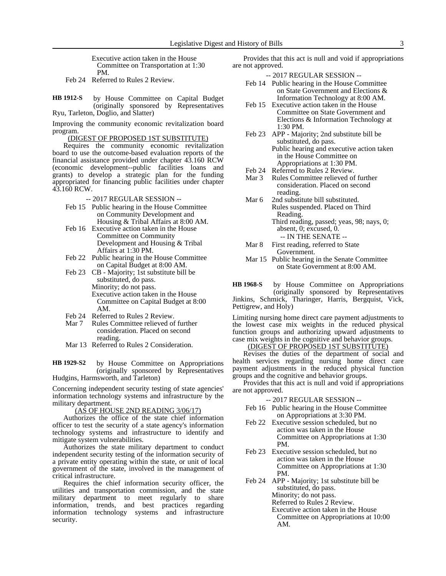Executive action taken in the House Committee on Transportation at 1:30 PM.

Feb 24 Referred to Rules 2 Review.

by House Committee on Capital Budget (originally sponsored by Representatives Ryu, Tarleton, Doglio, and Slatter) **HB 1912-S**

Improving the community economic revitalization board program.

(DIGEST OF PROPOSED 1ST SUBSTITUTE)

Requires the community economic revitalization board to use the outcome-based evaluation reports of the financial assistance provided under chapter 43.160 RCW (economic development--public facilities loans and grants) to develop a strategic plan for the funding appropriated for financing public facilities under chapter 43.160 RCW.

-- 2017 REGULAR SESSION --

- Feb 15 Public hearing in the House Committee on Community Development and Housing & Tribal Affairs at 8:00 AM.
- Feb 16 Executive action taken in the House Committee on Community Development and Housing & Tribal Affairs at 1:30 PM.
- Feb 22 Public hearing in the House Committee on Capital Budget at 8:00 AM.
- Feb 23 CB Majority; 1st substitute bill be substituted, do pass. Minority; do not pass. Executive action taken in the House Committee on Capital Budget at 8:00 AM.
- Feb 24 Referred to Rules 2 Review.<br>Mar 7 Rules Committee relieved of
- Rules Committee relieved of further consideration. Placed on second reading.
- Mar 13 Referred to Rules 2 Consideration.

by House Committee on Appropriations (originally sponsored by Representatives Hudgins, Harmsworth, and Tarleton) **HB 1929-S2**

Concerning independent security testing of state agencies' information technology systems and infrastructure by the military department.

#### (AS OF HOUSE 2ND READING 3/06/17)

Authorizes the office of the state chief information officer to test the security of a state agency's information technology systems and infrastructure to identify and mitigate system vulnerabilities.

Authorizes the state military department to conduct independent security testing of the information security of a private entity operating within the state, or unit of local government of the state, involved in the management of critical infrastructure.

Requires the chief information security officer, the utilities and transportation commission, and the state military department to meet regularly to share information, trends, and best practices regarding information technology systems and infrastructure security.

Provides that this act is null and void if appropriations are not approved.

-- 2017 REGULAR SESSION --

- Feb 14 Public hearing in the House Committee on State Government and Elections & Information Technology at 8:00 AM.
- Feb 15 Executive action taken in the House Committee on State Government and Elections & Information Technology at 1:30 PM.
- Feb 23 APP Majority; 2nd substitute bill be substituted, do pass. Public hearing and executive action taken in the House Committee on Appropriations at 1:30 PM.
- Feb 24 Referred to Rules 2 Review.
- Mar 3 Rules Committee relieved of further consideration. Placed on second reading.
- Mar 6 2nd substitute bill substituted. Rules suspended. Placed on Third Reading. Third reading, passed; yeas, 98; nays, 0; absent, 0; excused, 0. -- IN THE SENATE --
- Mar 8 First reading, referred to State Government.
- Mar 15 Public hearing in the Senate Committee on State Government at 8:00 AM.

by House Committee on Appropriations (originally sponsored by Representatives Jinkins, Schmick, Tharinger, Harris, Bergquist, Vick, Pettigrew, and Holy) **HB 1968-S**

Limiting nursing home direct care payment adjustments to the lowest case mix weights in the reduced physical function groups and authorizing upward adjustments to case mix weights in the cognitive and behavior groups.

### (DIGEST OF PROPOSED 1ST SUBSTITUTE)

Revises the duties of the department of social and health services regarding nursing home direct care payment adjustments in the reduced physical function groups and the cognitive and behavior groups.

Provides that this act is null and void if appropriations are not approved.

-- 2017 REGULAR SESSION --

- Feb 16 Public hearing in the House Committee on Appropriations at 3:30 PM.
- Feb 22 Executive session scheduled, but no action was taken in the House Committee on Appropriations at 1:30 PM.
- Feb 23 Executive session scheduled, but no action was taken in the House Committee on Appropriations at 1:30 PM.
- Feb 24 APP Majority; 1st substitute bill be substituted, do pass. Minority; do not pass. Referred to Rules 2 Review. Executive action taken in the House Committee on Appropriations at 10:00 AM.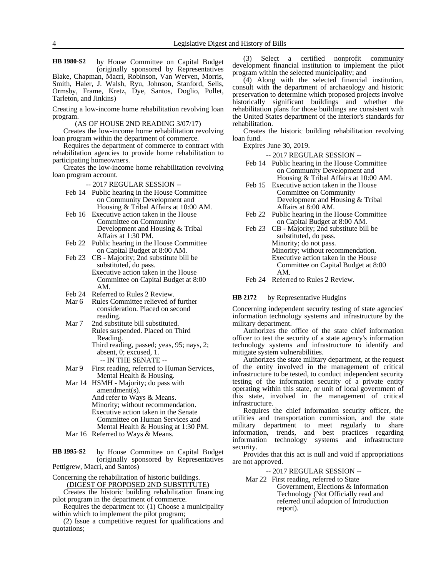by House Committee on Capital Budget (originally sponsored by Representatives Blake, Chapman, Macri, Robinson, Van Werven, Morris, Smith, Haler, J. Walsh, Ryu, Johnson, Stanford, Sells, Ormsby, Frame, Kretz, Dye, Santos, Doglio, Pollet, Tarleton, and Jinkins) **HB 1980-S2**

Creating a low-income home rehabilitation revolving loan program.

(AS OF HOUSE 2ND READING 3/07/17)

Creates the low-income home rehabilitation revolving loan program within the department of commerce.

Requires the department of commerce to contract with rehabilitation agencies to provide home rehabilitation to participating homeowners.

Creates the low-income home rehabilitation revolving loan program account.

-- 2017 REGULAR SESSION --

- Feb 14 Public hearing in the House Committee on Community Development and Housing & Tribal Affairs at 10:00 AM.
- Feb 16 Executive action taken in the House Committee on Community Development and Housing & Tribal Affairs at 1:30 PM.
- Feb 22 Public hearing in the House Committee on Capital Budget at 8:00 AM.
- Feb 23 CB Majority; 2nd substitute bill be substituted, do pass. Executive action taken in the House Committee on Capital Budget at 8:00 AM.
- Feb 24 Referred to Rules 2 Review.
- Mar 6 Rules Committee relieved of further consideration. Placed on second reading.
- Mar 7 2nd substitute bill substituted. Rules suspended. Placed on Third Reading. Third reading, passed; yeas, 95; nays, 2;

absent, 0; excused, 1. -- IN THE SENATE --

- Mar 9 First reading, referred to Human Services, Mental Health & Housing.
- Mar 14 HSMH Majority; do pass with amendment(s). And refer to Ways & Means. Minority; without recommendation. Executive action taken in the Senate Committee on Human Services and Mental Health & Housing at 1:30 PM.
- Mar 16 Referred to Ways & Means.

by House Committee on Capital Budget (originally sponsored by Representatives Pettigrew, Macri, and Santos) **HB 1995-S2**

Concerning the rehabilitation of historic buildings. (DIGEST OF PROPOSED 2ND SUBSTITUTE)

Creates the historic building rehabilitation financing pilot program in the department of commerce.

Requires the department to: (1) Choose a municipality within which to implement the pilot program;

(2) Issue a competitive request for qualifications and quotations;

(3) Select a certified nonprofit community development financial institution to implement the pilot program within the selected municipality; and

(4) Along with the selected financial institution, consult with the department of archaeology and historic preservation to determine which proposed projects involve historically significant buildings and whether the rehabilitation plans for those buildings are consistent with the United States department of the interior's standards for rehabilitation.

Creates the historic building rehabilitation revolving loan fund.

Expires June 30, 2019.

-- 2017 REGULAR SESSION --

- Feb 14 Public hearing in the House Committee on Community Development and Housing & Tribal Affairs at 10:00 AM.
- Feb 15 Executive action taken in the House Committee on Community Development and Housing & Tribal Affairs at 8:00 AM.
- Feb 22 Public hearing in the House Committee on Capital Budget at 8:00 AM.
- Feb 23 CB Majority; 2nd substitute bill be substituted, do pass. Minority; do not pass. Minority; without recommendation. Executive action taken in the House Committee on Capital Budget at 8:00 AM. Feb 24 Referred to Rules 2 Review.

#### by Representative Hudgins **HB 2172**

Concerning independent security testing of state agencies' information technology systems and infrastructure by the military department.

Authorizes the office of the state chief information officer to test the security of a state agency's information technology systems and infrastructure to identify and mitigate system vulnerabilities.

Authorizes the state military department, at the request of the entity involved in the management of critical infrastructure to be tested, to conduct independent security testing of the information security of a private entity operating within this state, or unit of local government of this state, involved in the management of critical infrastructure.

Requires the chief information security officer, the utilities and transportation commission, and the state military department to meet regularly to share information, trends, and best practices regarding information technology systems and infrastructure security.

Provides that this act is null and void if appropriations are not approved.

-- 2017 REGULAR SESSION --

Mar 22 First reading, referred to State

Government, Elections & Information Technology (Not Officially read and referred until adoption of Introduction report).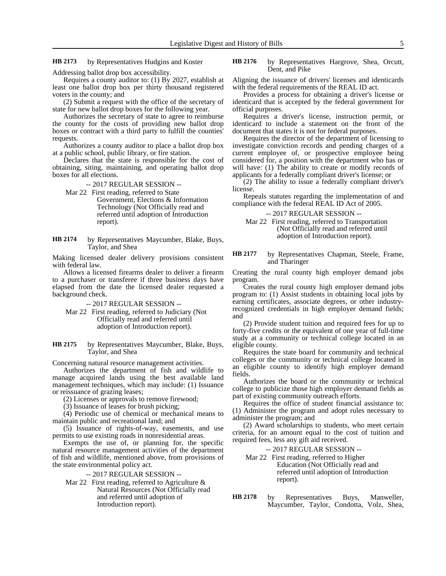by Representatives Hudgins and Koster **HB 2173**

by Representatives Hargrove, Shea, Orcutt, Dent, and Pike **HB 2176**

Addressing ballot drop box accessibility.

Requires a county auditor to: (1) By 2027, establish at least one ballot drop box per thirty thousand registered voters in the county; and

(2) Submit a request with the office of the secretary of state for new ballot drop boxes for the following year.

Authorizes the secretary of state to agree to reimburse the county for the costs of providing new ballot drop boxes or contract with a third party to fulfill the counties' requests.

Authorizes a county auditor to place a ballot drop box at a public school, public library, or fire station.

Declares that the state is responsible for the cost of obtaining, siting, maintaining, and operating ballot drop boxes for all elections.

-- 2017 REGULAR SESSION --

Mar 22 First reading, referred to State

Government, Elections & Information Technology (Not Officially read and referred until adoption of Introduction report).

by Representatives Maycumber, Blake, Buys, Taylor, and Shea **HB 2174**

Making licensed dealer delivery provisions consistent with federal law.

Allows a licensed firearms dealer to deliver a firearm to a purchaser or transferee if three business days have elapsed from the date the licensed dealer requested a background check.

-- 2017 REGULAR SESSION --

- Mar 22 First reading, referred to Judiciary (Not Officially read and referred until adoption of Introduction report).
- by Representatives Maycumber, Blake, Buys, Taylor, and Shea **HB 2175**

Concerning natural resource management activities.

Authorizes the department of fish and wildlife to manage acquired lands using the best available land management techniques, which may include: (1) Issuance or reissuance of grazing leases;

(2) Licenses or approvals to remove firewood;

(3) Issuance of leases for brush picking;

(4) Periodic use of chemical or mechanical means to maintain public and recreational land; and

(5) Issuance of rights-of-way, easements, and use permits to use existing roads in nonresidential areas.

Exempts the use of, or planning for, the specific natural resource management activities of the department of fish and wildlife, mentioned above, from provisions of the state environmental policy act.

-- 2017 REGULAR SESSION --

Mar 22 First reading, referred to Agriculture & Natural Resources (Not Officially read and referred until adoption of Introduction report).

Aligning the issuance of drivers' licenses and identicards with the federal requirements of the REAL ID act.

Provides a process for obtaining a driver's license or identicard that is accepted by the federal government for official purposes.

Requires a driver's license, instruction permit, or identicard to include a statement on the front of the document that states it is not for federal purposes.

Requires the director of the department of licensing to investigate conviction records and pending charges of a current employee of, or prospective employee being considered for, a position with the department who has or will have: (1) The ability to create or modify records of applicants for a federally compliant driver's license; or

(2) The ability to issue a federally compliant driver's license.

Repeals statutes regarding the implementation of and compliance with the federal REAL ID Act of 2005.

-- 2017 REGULAR SESSION --

Mar 22 First reading, referred to Transportation (Not Officially read and referred until adoption of Introduction report).

by Representatives Chapman, Steele, Frame, and Tharinger **HB 2177**

Creating the rural county high employer demand jobs program.

Creates the rural county high employer demand jobs program to: (1) Assist students in obtaining local jobs by earning certificates, associate degrees, or other industryrecognized credentials in high employer demand fields; and

(2) Provide student tuition and required fees for up to forty-five credits or the equivalent of one year of full-time study at a community or technical college located in an eligible county.

Requires the state board for community and technical colleges or the community or technical college located in an eligible county to identify high employer demand fields.

Authorizes the board or the community or technical college to publicize those high employer demand fields as part of existing community outreach efforts.

Requires the office of student financial assistance to: (1) Administer the program and adopt rules necessary to administer the program; and

(2) Award scholarships to students, who meet certain criteria, for an amount equal to the cost of tuition and required fees, less any gift aid received.

-- 2017 REGULAR SESSION --

Mar 22 First reading, referred to Higher Education (Not Officially read and referred until adoption of Introduction report).

by Representatives Buys, Manweller, Maycumber, Taylor, Condotta, Volz, Shea, **HB 2178**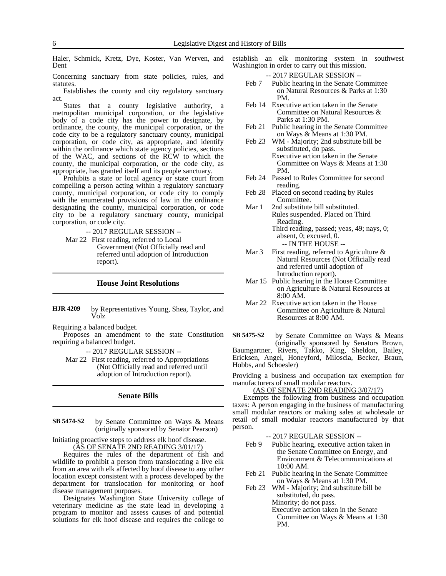Haler, Schmick, Kretz, Dye, Koster, Van Werven, and Dent

Concerning sanctuary from state policies, rules, and statutes.

Establishes the county and city regulatory sanctuary act.

States that a county legislative authority, a metropolitan municipal corporation, or the legislative body of a code city has the power to designate, by ordinance, the county, the municipal corporation, or the code city to be a regulatory sanctuary county, municipal corporation, or code city, as appropriate, and identify within the ordinance which state agency policies, sections of the WAC, and sections of the RCW to which the county, the municipal corporation, or the code city, as appropriate, has granted itself and its people sanctuary.

Prohibits a state or local agency or state court from compelling a person acting within a regulatory sanctuary county, municipal corporation, or code city to comply with the enumerated provisions of law in the ordinance designating the county, municipal corporation, or code city to be a regulatory sanctuary county, municipal corporation, or code city.

-- 2017 REGULAR SESSION --

Mar 22 First reading, referred to Local Government (Not Officially read and referred until adoption of Introduction report).

### **House Joint Resolutions**

by Representatives Young, Shea, Taylor, and Volz **HJR 4209**

Requiring a balanced budget.

Proposes an amendment to the state Constitution requiring a balanced budget.

-- 2017 REGULAR SESSION --

Mar 22 First reading, referred to Appropriations (Not Officially read and referred until adoption of Introduction report).

### **Senate Bills**

by Senate Committee on Ways & Means (originally sponsored by Senator Pearson) **SB 5474-S2**

Initiating proactive steps to address elk hoof disease. (AS OF SENATE 2ND READING 3/01/17)

Requires the rules of the department of fish and wildlife to prohibit a person from translocating a live elk from an area with elk affected by hoof disease to any other location except consistent with a process developed by the department for translocation for monitoring or hoof disease management purposes.

Designates Washington State University college of veterinary medicine as the state lead in developing a program to monitor and assess causes of and potential solutions for elk hoof disease and requires the college to

establish an elk monitoring system in southwest Washington in order to carry out this mission.

- -- 2017 REGULAR SESSION -- Feb 7 Public hearing in the Senate Committee
- on Natural Resources & Parks at 1:30 PM.
- Feb 14 Executive action taken in the Senate Committee on Natural Resources & Parks at 1:30 PM.
- Feb 21 Public hearing in the Senate Committee on Ways & Means at 1:30 PM.
- Feb 23 WM Majority; 2nd substitute bill be substituted, do pass. Executive action taken in the Senate Committee on Ways & Means at 1:30 PM.
- Feb 24 Passed to Rules Committee for second reading.
- Feb 28 Placed on second reading by Rules Committee.
- Mar 1 2nd substitute bill substituted. Rules suspended. Placed on Third Reading.

Third reading, passed; yeas, 49; nays, 0; absent, 0; excused, 0. -- IN THE HOUSE --

- Mar 3 First reading, referred to Agriculture  $\&$ Natural Resources (Not Officially read and referred until adoption of Introduction report).
- Mar 15 Public hearing in the House Committee on Agriculture & Natural Resources at 8:00 AM.
- Mar 22 Executive action taken in the House Committee on Agriculture & Natural Resources at 8:00 AM.

by Senate Committee on Ways & Means (originally sponsored by Senators Brown, Baumgartner, Rivers, Takko, King, Sheldon, Bailey, Ericksen, Angel, Honeyford, Miloscia, Becker, Braun, Hobbs, and Schoesler) **SB 5475-S2**

Providing a business and occupation tax exemption for manufacturers of small modular reactors.

(AS OF SENATE 2ND READING 3/07/17)

Exempts the following from business and occupation taxes: A person engaging in the business of manufacturing small modular reactors or making sales at wholesale or retail of small modular reactors manufactured by that person.

-- 2017 REGULAR SESSION --

- Feb 9 Public hearing, executive action taken in the Senate Committee on Energy, and Environment & Telecommunications at 10:00 AM.
- Feb 21 Public hearing in the Senate Committee on Ways & Means at 1:30 PM.
- Feb 23 WM Majority; 2nd substitute bill be substituted, do pass. Minority; do not pass.

Executive action taken in the Senate Committee on Ways & Means at 1:30 PM.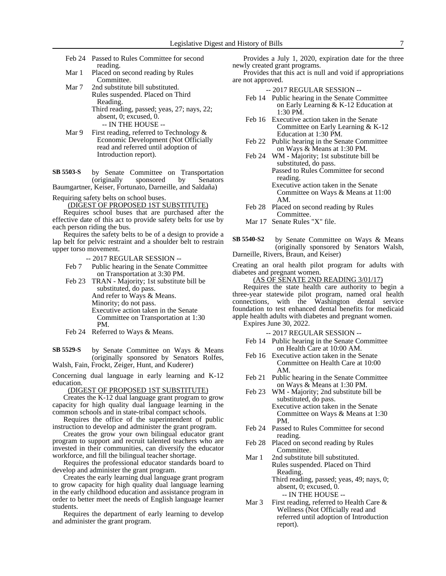- Feb 24 Passed to Rules Committee for second reading.
- Mar 1 Placed on second reading by Rules Committee.
- Mar 7 2nd substitute bill substituted. Rules suspended. Placed on Third Reading. Third reading, passed; yeas, 27; nays, 22; absent, 0; excused, 0.

-- IN THE HOUSE -- Mar 9 First reading, referred to Technology &

Economic Development (Not Officially read and referred until adoption of Introduction report).

by Senate Committee on Transportation (originally sponsored by Senators Baumgartner, Keiser, Fortunato, Darneille, and Saldaña) **SB 5503-S**

Requiring safety belts on school buses.

(DIGEST OF PROPOSED 1ST SUBSTITUTE)

Requires school buses that are purchased after the effective date of this act to provide safety belts for use by each person riding the bus.

Requires the safety belts to be of a design to provide a lap belt for pelvic restraint and a shoulder belt to restrain upper torso movement.

-- 2017 REGULAR SESSION --

- Feb 7 Public hearing in the Senate Committee on Transportation at 3:30 PM.
- Feb 23 TRAN Majority; 1st substitute bill be substituted, do pass. And refer to Ways & Means. Minority; do not pass. Executive action taken in the Senate Committee on Transportation at 1:30 PM.
- Feb 24 Referred to Ways & Means.

by Senate Committee on Ways & Means (originally sponsored by Senators Rolfes, Walsh, Fain, Frockt, Zeiger, Hunt, and Kuderer) **SB 5529-S**

Concerning dual language in early learning and K-12 education.

(DIGEST OF PROPOSED 1ST SUBSTITUTE)

Creates the K-12 dual language grant program to grow capacity for high quality dual language learning in the common schools and in state-tribal compact schools.

Requires the office of the superintendent of public instruction to develop and administer the grant program.

Creates the grow your own bilingual educator grant program to support and recruit talented teachers who are invested in their communities, can diversify the educator workforce, and fill the bilingual teacher shortage.

Requires the professional educator standards board to develop and administer the grant program.

Creates the early learning dual language grant program to grow capacity for high quality dual language learning in the early childhood education and assistance program in order to better meet the needs of English language learner students.

Requires the department of early learning to develop and administer the grant program.

Provides a July 1, 2020, expiration date for the three newly created grant programs.

Provides that this act is null and void if appropriations are not approved.

- -- 2017 REGULAR SESSION --
- Feb 14 Public hearing in the Senate Committee on Early Learning & K-12 Education at 1:30 PM.
- Feb 16 Executive action taken in the Senate Committee on Early Learning & K-12 Education at 1:30 PM.
- Feb 22 Public hearing in the Senate Committee on Ways & Means at 1:30 PM.
- Feb 24 WM Majority; 1st substitute bill be substituted, do pass. Passed to Rules Committee for second reading. Executive action taken in the Senate Committee on Ways & Means at 11:00 AM.
- Feb 28 Placed on second reading by Rules Committee.
- Mar 17 Senate Rules "X" file.

by Senate Committee on Ways & Means (originally sponsored by Senators Walsh, Darneille, Rivers, Braun, and Keiser) **SB 5540-S2**

Creating an oral health pilot program for adults with diabetes and pregnant women.

(AS OF SENATE 2ND READING 3/01/17)

Requires the state health care authority to begin a three-year statewide pilot program, named oral health connections, with the Washington dental service foundation to test enhanced dental benefits for medicaid apple health adults with diabetes and pregnant women. Expires June 30, 2022.

-- 2017 REGULAR SESSION --

- Feb 14 Public hearing in the Senate Committee on Health Care at 10:00 AM.
- Feb 16 Executive action taken in the Senate Committee on Health Care at 10:00 AM.
- Feb 21 Public hearing in the Senate Committee on Ways & Means at 1:30 PM.
- Feb 23 WM Majority; 2nd substitute bill be substituted, do pass. Executive action taken in the Senate Committee on Ways & Means at 1:30
- Feb 24 Passed to Rules Committee for second reading.
- Feb 28 Placed on second reading by Rules Committee.

PM.

Mar 1 2nd substitute bill substituted. Rules suspended. Placed on Third Reading.

Third reading, passed; yeas, 49; nays, 0; absent, 0; excused, 0. -- IN THE HOUSE --

Mar 3 First reading, referred to Health Care & Wellness (Not Officially read and referred until adoption of Introduction report).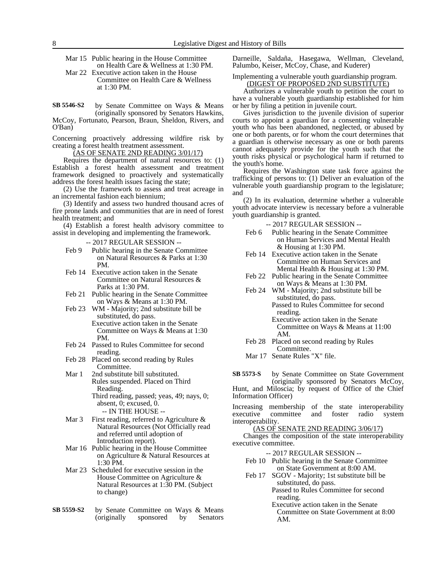Mar 15 Public hearing in the House Committee on Health Care & Wellness at 1:30 PM.

Mar 22 Executive action taken in the House Committee on Health Care & Wellness at 1:30 PM.

by Senate Committee on Ways & Means (originally sponsored by Senators Hawkins, McCoy, Fortunato, Pearson, Braun, Sheldon, Rivers, and O'Ban) **SB 5546-S2**

Concerning proactively addressing wildfire risk by creating a forest health treatment assessment.

(AS OF SENATE 2ND READING 3/01/17)

Requires the department of natural resources to: (1) Establish a forest health assessment and treatment framework designed to proactively and systematically address the forest health issues facing the state;

(2) Use the framework to assess and treat acreage in an incremental fashion each biennium;

(3) Identify and assess two hundred thousand acres of fire prone lands and communities that are in need of forest health treatment; and

(4) Establish a forest health advisory committee to assist in developing and implementing the framework.

-- 2017 REGULAR SESSION --

- Feb 9 Public hearing in the Senate Committee on Natural Resources & Parks at 1:30 PM.
- Feb 14 Executive action taken in the Senate Committee on Natural Resources & Parks at 1:30 PM.
- Feb 21 Public hearing in the Senate Committee on Ways & Means at 1:30 PM.
- Feb 23 WM Majority; 2nd substitute bill be substituted, do pass. Executive action taken in the Senate Committee on Ways & Means at 1:30 PM.
- Feb 24 Passed to Rules Committee for second reading.
- Feb 28 Placed on second reading by Rules Committee.
- Mar 1 2nd substitute bill substituted. Rules suspended. Placed on Third Reading. Third reading, passed; yeas, 49; nays, 0;

absent, 0; excused, 0. -- IN THE HOUSE --

- Mar 3 First reading, referred to Agriculture & Natural Resources (Not Officially read and referred until adoption of Introduction report).
- Mar 16 Public hearing in the House Committee on Agriculture & Natural Resources at 1:30 PM.
- Mar 23 Scheduled for executive session in the House Committee on Agriculture & Natural Resources at 1:30 PM. (Subject to change)
- by Senate Committee on Ways & Means (originally sponsored by Senators **SB 5559-S2**

Darneille, Saldaña, Hasegawa, Wellman, Cleveland, Palumbo, Keiser, McCoy, Chase, and Kuderer)

Implementing a vulnerable youth guardianship program. (DIGEST OF PROPOSED 2ND SUBSTITUTE)

Authorizes a vulnerable youth to petition the court to have a vulnerable youth guardianship established for him or her by filing a petition in juvenile court.

Gives jurisdiction to the juvenile division of superior courts to appoint a guardian for a consenting vulnerable youth who has been abandoned, neglected, or abused by one or both parents, or for whom the court determines that a guardian is otherwise necessary as one or both parents cannot adequately provide for the youth such that the youth risks physical or psychological harm if returned to the youth's home.

Requires the Washington state task force against the trafficking of persons to: (1) Deliver an evaluation of the vulnerable youth guardianship program to the legislature; and

(2) In its evaluation, determine whether a vulnerable youth advocate interview is necessary before a vulnerable youth guardianship is granted.

- -- 2017 REGULAR SESSION --
- Feb 6 Public hearing in the Senate Committee on Human Services and Mental Health & Housing at 1:30 PM.
- Feb 14 Executive action taken in the Senate Committee on Human Services and Mental Health & Housing at 1:30 PM.
- Feb 22 Public hearing in the Senate Committee on Ways & Means at 1:30 PM.
- Feb 24 WM Majority; 2nd substitute bill be substituted, do pass. Passed to Rules Committee for second reading.

Executive action taken in the Senate Committee on Ways & Means at 11:00 AM.

- Feb 28 Placed on second reading by Rules Committee.
- Mar 17 Senate Rules "X" file.

by Senate Committee on State Government (originally sponsored by Senators McCoy, Hunt, and Miloscia; by request of Office of the Chief Information Officer) **SB 5573-S**

Increasing membership of the state interoperability executive committee and foster radio system interoperability.

(AS OF SENATE 2ND READING 3/06/17)

Changes the composition of the state interoperability executive committee.

- -- 2017 REGULAR SESSION --
- Feb 10 Public hearing in the Senate Committee on State Government at 8:00 AM.
- Feb 17 SGOV Majority; 1st substitute bill be substituted, do pass. Passed to Rules Committee for second

reading. Executive action taken in the Senate Committee on State Government at 8:00 AM.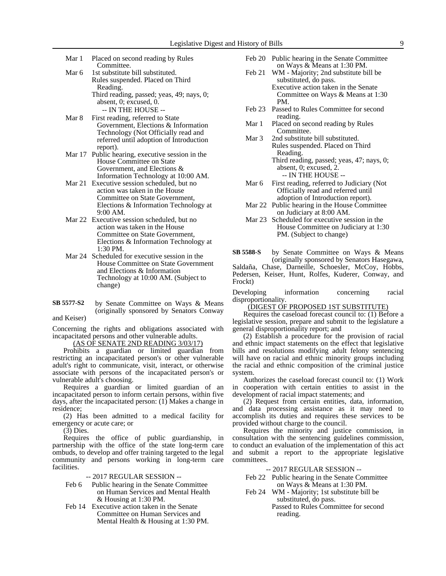Mar 1 Placed on second reading by Rules Committee.

- Mar 6 1st substitute bill substituted. Rules suspended. Placed on Third Reading. Third reading, passed; yeas, 49; nays, 0; absent, 0; excused, 0.
- -- IN THE HOUSE -- Mar 8 First reading, referred to State Government, Elections & Information Technology (Not Officially read and referred until adoption of Introduction report).
- Mar 17 Public hearing, executive session in the House Committee on State Government, and Elections & Information Technology at 10:00 AM.
- Mar 21 Executive session scheduled, but no action was taken in the House Committee on State Government, Elections & Information Technology at 9:00 AM.
- Mar 22 Executive session scheduled, but no action was taken in the House Committee on State Government, Elections & Information Technology at 1:30 PM.
- Mar 24 Scheduled for executive session in the House Committee on State Government and Elections & Information Technology at 10:00 AM. (Subject to change)
- by Senate Committee on Ways & Means (originally sponsored by Senators Conway and Keiser) **SB 5577-S2**

Concerning the rights and obligations associated with incapacitated persons and other vulnerable adults.

(AS OF SENATE 2ND READING 3/03/17)

Prohibits a guardian or limited guardian from restricting an incapacitated person's or other vulnerable adult's right to communicate, visit, interact, or otherwise associate with persons of the incapacitated person's or vulnerable adult's choosing.

Requires a guardian or limited guardian of an incapacitated person to inform certain persons, within five days, after the incapacitated person: (1) Makes a change in residence;

(2) Has been admitted to a medical facility for emergency or acute care; or

 $(3)$  Dies.

Requires the office of public guardianship, in partnership with the office of the state long-term care ombuds, to develop and offer training targeted to the legal community and persons working in long-term care facilities.

-- 2017 REGULAR SESSION --

- Feb 6 Public hearing in the Senate Committee on Human Services and Mental Health & Housing at 1:30 PM.
- Feb 14 Executive action taken in the Senate Committee on Human Services and Mental Health & Housing at 1:30 PM.
- Feb 20 Public hearing in the Senate Committee on Ways & Means at 1:30 PM.
- Feb 21 WM Majority; 2nd substitute bill be substituted, do pass. Executive action taken in the Senate Committee on Ways & Means at 1:30 PM.
- Feb 23 Passed to Rules Committee for second reading.
- Mar 1 Placed on second reading by Rules Committee.
- Mar 3 2nd substitute bill substituted. Rules suspended. Placed on Third Reading. Third reading, passed; yeas, 47; nays, 0; absent, 0; excused, 2.
	- -- IN THE HOUSE --
- Mar 6 First reading, referred to Judiciary (Not Officially read and referred until adoption of Introduction report).
- Mar 22 Public hearing in the House Committee on Judiciary at 8:00 AM.
- Mar 23 Scheduled for executive session in the House Committee on Judiciary at 1:30 PM. (Subject to change)
- by Senate Committee on Ways & Means (originally sponsored by Senators Hasegawa, Saldaña, Chase, Darneille, Schoesler, McCoy, Hobbs, Pedersen, Keiser, Hunt, Rolfes, Kuderer, Conway, and Frockt) **SB 5588-S**

Developing information concerning racial disproportionality.

(DIGEST OF PROPOSED 1ST SUBSTITUTE)

Requires the caseload forecast council to: (1) Before a legislative session, prepare and submit to the legislature a general disproportionality report; and

(2) Establish a procedure for the provision of racial and ethnic impact statements on the effect that legislative bills and resolutions modifying adult felony sentencing will have on racial and ethnic minority groups including the racial and ethnic composition of the criminal justice system.

Authorizes the caseload forecast council to: (1) Work in cooperation with certain entities to assist in the development of racial impact statements; and

(2) Request from certain entities, data, information, and data processing assistance as it may need to accomplish its duties and requires these services to be provided without charge to the council.

Requires the minority and justice commission, in consultation with the sentencing guidelines commission, to conduct an evaluation of the implementation of this act and submit a report to the appropriate legislative committees.

-- 2017 REGULAR SESSION --

- Feb 22 Public hearing in the Senate Committee on Ways & Means at 1:30 PM.
- Feb 24 WM Majority; 1st substitute bill be substituted, do pass. Passed to Rules Committee for second

reading.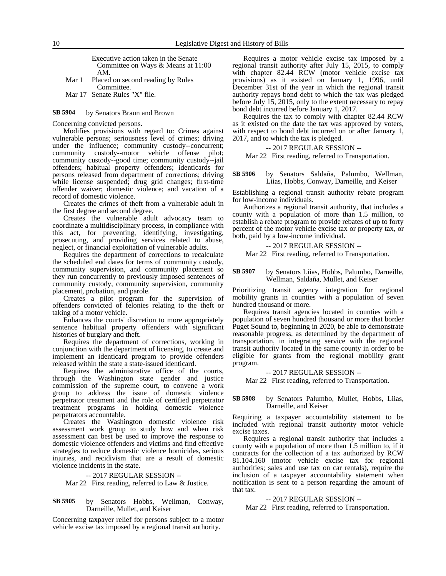Executive action taken in the Senate Committee on Ways & Means at 11:00 AM.

Mar 1 Placed on second reading by Rules Committee.

Mar 17 Senate Rules "X" file.

#### by Senators Braun and Brown **SB 5904**

Concerning convicted persons.

Modifies provisions with regard to: Crimes against vulnerable persons; seriousness level of crimes; driving under the influence; community custody--concurrent; community custody--motor vehicle offense pilot; community custody--good time; community custody--jail offenders; habitual property offenders; identicards for persons released from department of corrections; driving while license suspended; drug grid changes; first-time offender waiver; domestic violence; and vacation of a record of domestic violence.

Creates the crimes of theft from a vulnerable adult in the first degree and second degree.

Creates the vulnerable adult advocacy team to coordinate a multidisciplinary process, in compliance with this act, for preventing, identifying, investigating, prosecuting, and providing services related to abuse, neglect, or financial exploitation of vulnerable adults.

Requires the department of corrections to recalculate the scheduled end dates for terms of community custody, community supervision, and community placement so they run concurrently to previously imposed sentences of community custody, community supervision, community placement, probation, and parole.

Creates a pilot program for the supervision of offenders convicted of felonies relating to the theft or taking of a motor vehicle.

Enhances the courts' discretion to more appropriately sentence habitual property offenders with significant histories of burglary and theft.

Requires the department of corrections, working in conjunction with the department of licensing, to create and implement an identicard program to provide offenders released within the state a state-issued identicard.

Requires the administrative office of the courts, through the Washington state gender and justice commission of the supreme court, to convene a work group to address the issue of domestic violence perpetrator treatment and the role of certified perpetrator treatment programs in holding domestic violence perpetrators accountable.

Creates the Washington domestic violence risk assessment work group to study how and when risk assessment can best be used to improve the response to domestic violence offenders and victims and find effective strategies to reduce domestic violence homicides, serious injuries, and recidivism that are a result of domestic violence incidents in the state.

#### -- 2017 REGULAR SESSION --

Mar 22 First reading, referred to Law & Justice.

#### by Senators Hobbs, Wellman, Conway, Darneille, Mullet, and Keiser **SB 5905**

Concerning taxpayer relief for persons subject to a motor vehicle excise tax imposed by a regional transit authority.

Requires a motor vehicle excise tax imposed by a regional transit authority after July 15, 2015, to comply with chapter 82.44 RCW (motor vehicle excise tax provisions) as it existed on January 1, 1996, until December 31st of the year in which the regional transit authority repays bond debt to which the tax was pledged before July 15, 2015, only to the extent necessary to repay bond debt incurred before January 1, 2017.

Requires the tax to comply with chapter 82.44 RCW as it existed on the date the tax was approved by voters, with respect to bond debt incurred on or after January 1, 2017, and to which the tax is pledged.

### -- 2017 REGULAR SESSION --

Mar 22 First reading, referred to Transportation.

by Senators Saldaña, Palumbo, Wellman, Liias, Hobbs, Conway, Darneille, and Keiser **SB 5906**

Establishing a regional transit authority rebate program for low-income individuals.

Authorizes a regional transit authority, that includes a county with a population of more than 1.5 million, to establish a rebate program to provide rebates of up to forty percent of the motor vehicle excise tax or property tax, or both, paid by a low-income individual.

### -- 2017 REGULAR SESSION --

Mar 22 First reading, referred to Transportation.

#### by Senators Liias, Hobbs, Palumbo, Darneille, Wellman, Saldaña, Mullet, and Keiser **SB 5907**

Prioritizing transit agency integration for regional mobility grants in counties with a population of seven hundred thousand or more.

Requires transit agencies located in counties with a population of seven hundred thousand or more that border Puget Sound to, beginning in 2020, be able to demonstrate reasonable progress, as determined by the department of transportation, in integrating service with the regional transit authority located in the same county in order to be eligible for grants from the regional mobility grant program.

-- 2017 REGULAR SESSION --

Mar 22 First reading, referred to Transportation.

#### by Senators Palumbo, Mullet, Hobbs, Liias, Darneille, and Keiser **SB 5908**

Requiring a taxpayer accountability statement to be included with regional transit authority motor vehicle excise taxes.

Requires a regional transit authority that includes a county with a population of more than 1.5 million to, if it contracts for the collection of a tax authorized by RCW 81.104.160 (motor vehicle excise tax for regional authorities; sales and use tax on car rentals), require the inclusion of a taxpayer accountability statement when notification is sent to a person regarding the amount of that tax.

-- 2017 REGULAR SESSION --

Mar 22 First reading, referred to Transportation.